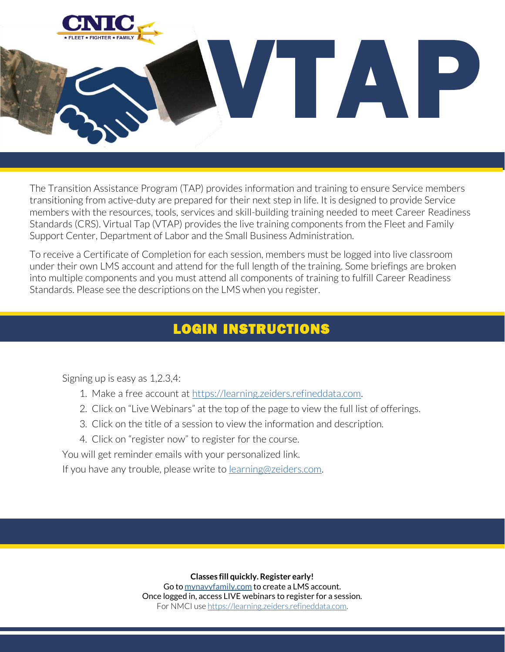

The Transition Assistance Program (TAP) provides information and training to ensure Service members transitioning from active-duty are prepared for their next step in life. It is designed to provide Service members with the resources, tools, services and skill-building training needed to meet Career Readiness Standards (CRS). Virtual Tap (VTAP) provides the live training components from the Fleet and Family Support Center, Department of Labor and the Small Business Administration.

To receive a Certificate of Completion for each session, members must be logged into live classroom under their own LMS account and attend for the full length of the training. Some briefings are broken into multiple components and you must attend all components of training to fulfill Career Readiness Standards. Please see the descriptions on the LMS when you register.

## LOGIN INSTRUCTIONS

Signing up is easy as 1,2.3,4:

i<br>L I

- 1. Make a free account at [https://learning.zeiders.refineddata.com.](https://learning.zeiders.refineddata.com/)
- 2. Click on "Live Webinars" at the top of the page to view the full list of offerings.
- 3. Click on the title of a session to view the information and description.
- 4. Click on "register now" to register for the course.

You will get reminder emails with your personalized link.

If you have any trouble, please write to [learning@zeiders.com.](mailto:learning@zeiders.com)

**Classes fill quickly. Register early!**

Go to [mynavyfamily.com](http://mynavyfamily.com/) to create a LMS account. Once logged in, access LIVE webinars to register for a session. For NMCI us[e https://learning.zeiders.refineddata.com.](https://learning.zeiders.refineddata.com/)